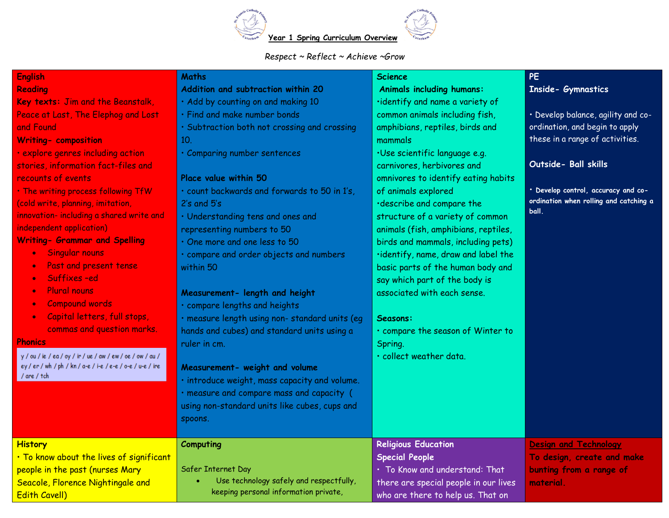

*Respect ~ Reflect ~ Achieve ~Grow*

| <b>English</b>                                             | <b>Maths</b>                                   | <b>Science</b>                        | <b>PE</b>                              |
|------------------------------------------------------------|------------------------------------------------|---------------------------------------|----------------------------------------|
| <b>Reading</b>                                             | Addition and subtraction within 20             | <b>Animals including humans:</b>      | <b>Inside- Gymnastics</b>              |
| Key texts: Jim and the Beanstalk,                          | · Add by counting on and making 10             | ·identify and name a variety of       |                                        |
| Peace at Last, The Elephog and Lost                        | · Find and make number bonds                   | common animals including fish,        | • Develop balance, agility and co-     |
| and Found                                                  | · Subtraction both not crossing and crossing   | amphibians, reptiles, birds and       | ordination, and begin to apply         |
| <b>Writing- composition</b>                                | 10.                                            | mammals                               | these in a range of activities.        |
| · explore genres including action                          | · Comparing number sentences                   | ·Use scientific language e.g.         |                                        |
| stories, information fact-files and                        |                                                | carnivores, herbivores and            | Outside- Ball skills                   |
| recounts of events                                         | Place value within 50                          | omnivores to identify eating habits   |                                        |
| . The writing process following TfW                        | · count backwards and forwards to 50 in 1's,   | of animals explored                   | · Develop control, accuracy and co-    |
| (cold write, planning, imitation,                          | $2's$ and $5's$                                | ·describe and compare the             | ordination when rolling and catching a |
| innovation- including a shared write and                   | · Understanding tens and ones and              | structure of a variety of common      | ball.                                  |
| independent application)                                   | representing numbers to 50                     | animals (fish, amphibians, reptiles,  |                                        |
| <b>Writing- Grammar and Spelling</b>                       | One more and one less to 50                    | birds and mammals, including pets)    |                                        |
| Singular nouns<br>$\bullet$                                | · compare and order objects and numbers        | ·identify, name, draw and label the   |                                        |
| Past and present tense<br>$\bullet$                        | within 50                                      | basic parts of the human body and     |                                        |
| Suffixes-ed                                                |                                                | say which part of the body is         |                                        |
| <b>Plural nouns</b>                                        | Measurement- length and height                 | associated with each sense.           |                                        |
| <b>Compound words</b><br>$\bullet$                         | · compare lengths and heights                  |                                       |                                        |
| Capital letters, full stops,<br>$\bullet$                  | · measure length using non- standard units (eg | Seasons:                              |                                        |
| commas and question marks.                                 | hands and cubes) and standard units using a    | · compare the season of Winter to     |                                        |
| <b>Phonics</b>                                             | ruler in cm.                                   | Spring.                               |                                        |
| y / ou / ie / ea / oy / ir / ue / aw / ew / oe / ow / au / |                                                | · collect weather data.               |                                        |
| ey / er / wh / ph / kn / a-e / i-e / e-e / o-e / u-e / ire | Measurement- weight and volume                 |                                       |                                        |
| / are / tch                                                | · introduce weight, mass capacity and volume.  |                                       |                                        |
|                                                            | · measure and compare mass and capacity (      |                                       |                                        |
|                                                            | using non-standard units like cubes, cups and  |                                       |                                        |
|                                                            |                                                |                                       |                                        |
|                                                            | spoons.                                        |                                       |                                        |
| <b>History</b>                                             | Computing                                      | <b>Religious Education</b>            | <b>Design and Technology</b>           |
| . To know about the lives of significant                   |                                                | <b>Special People</b>                 | To design, create and make             |
| people in the past (nurses Mary                            | Safer Internet Day                             | · To Know and understand: That        | bunting from a range of                |
| Seacole, Florence Nightingale and                          | Use technology safely and respectfully,        | there are special people in our lives | material                               |
| <b>Edith Cavell)</b>                                       | keeping personal information private,          | who are there to help us. That on     |                                        |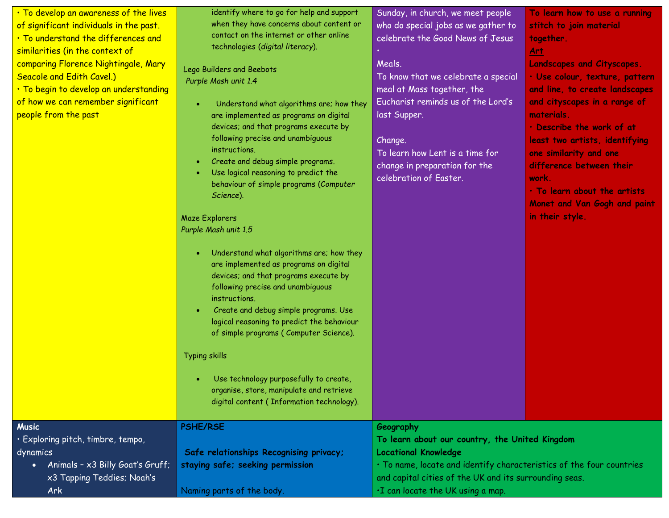| . To develop an awareness of the lives<br>of significant individuals in the past.<br>. To understand the differences and<br>similarities (in the context of<br>comparing Florence Nightingale, Mary<br><b>Seacole and Edith Cavel.)</b><br>· To begin to develop an understanding<br>of how we can remember significant<br>people from the past | identify where to go for help and support<br>when they have concerns about content or<br>contact on the internet or other online<br>technologies (digital literacy).<br>Lego Builders and Beebots<br>Purple Mash unit 1.4<br>Understand what algorithms are; how they<br>are implemented as programs on digital<br>devices; and that programs execute by<br>following precise and unambiguous<br>instructions.<br>Create and debug simple programs.<br>Use logical reasoning to predict the<br>behaviour of simple programs (Computer<br>Science).<br><b>Maze Explorers</b><br>Purple Mash unit 1.5<br>Understand what algorithms are; how they<br>$\bullet$<br>are implemented as programs on digital<br>devices; and that programs execute by<br>following precise and unambiguous<br>instructions.<br>Create and debug simple programs. Use<br>logical reasoning to predict the behaviour<br>of simple programs (Computer Science).<br><b>Typing skills</b><br>Use technology purposefully to create,<br>organise, store, manipulate and retrieve<br>digital content (Information technology). | Sunday, in church, we meet people<br>who do special jobs as we gather to<br>celebrate the Good News of Jesus<br>Meals.<br>To know that we celebrate a special<br>meal at Mass together, the<br>Eucharist reminds us of the Lord's<br>last Supper.<br>Change.<br>To learn how Lent is a time for<br>change in preparation for the<br>celebration of Easter. | To learn how to use a running<br>stitch to join material<br>together.<br><u>Art</u><br><b>Landscapes and Cityscapes.</b><br>· Use colour, texture, pattern<br>and line, to create landscapes<br>and cityscapes in a range of<br>materials.<br>· Describe the work of at<br>least two artists, identifying<br>one similarity and one<br>difference between their<br>work.<br>. To learn about the artists<br>Monet and Van Gogh and paint<br>in their style. |
|-------------------------------------------------------------------------------------------------------------------------------------------------------------------------------------------------------------------------------------------------------------------------------------------------------------------------------------------------|---------------------------------------------------------------------------------------------------------------------------------------------------------------------------------------------------------------------------------------------------------------------------------------------------------------------------------------------------------------------------------------------------------------------------------------------------------------------------------------------------------------------------------------------------------------------------------------------------------------------------------------------------------------------------------------------------------------------------------------------------------------------------------------------------------------------------------------------------------------------------------------------------------------------------------------------------------------------------------------------------------------------------------------------------------------------------------------------------|------------------------------------------------------------------------------------------------------------------------------------------------------------------------------------------------------------------------------------------------------------------------------------------------------------------------------------------------------------|-------------------------------------------------------------------------------------------------------------------------------------------------------------------------------------------------------------------------------------------------------------------------------------------------------------------------------------------------------------------------------------------------------------------------------------------------------------|
| <b>Music</b><br>· Exploring pitch, timbre, tempo,<br>dynamics<br>Animals - x3 Billy Goat's Gruff;<br>$\bullet$<br>x3 Tapping Teddies; Noah's<br>Ark                                                                                                                                                                                             | <b>PSHE/RSE</b><br>Safe relationships Recognising privacy;<br>staying safe; seeking permission<br>Naming parts of the body.                                                                                                                                                                                                                                                                                                                                                                                                                                                                                                                                                                                                                                                                                                                                                                                                                                                                                                                                                                       | Geography<br>To learn about our country, the United Kingdom<br><b>Locational Knowledge</b><br>· To name, locate and identify characteristics of the four countries<br>and capital cities of the UK and its surrounding seas.<br>.I can locate the UK using a map.                                                                                          |                                                                                                                                                                                                                                                                                                                                                                                                                                                             |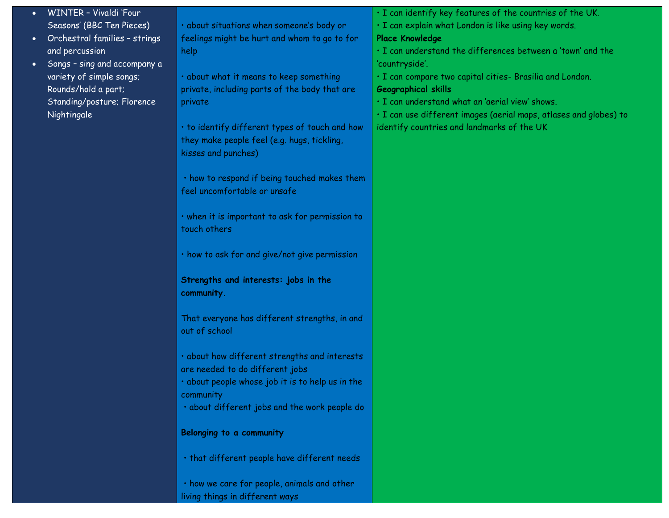- WINTER Vivaldi 'Four Seasons' (BBC Ten Pieces)
- Orchestral families strings and percussion
- Songs sing and accompany a variety of simple songs; Rounds/hold a part; Standing/posture; Florence Nightingale

• about situations when someone's body or feelings might be hurt and whom to go to for help

• about what it means to keep something private, including parts of the body that are private

• to identify different types of touch and how they make people feel (e.g. hugs, tickling, kisses and punches)

• how to respond if being touched makes them feel uncomfortable or unsafe

• when it is important to ask for permission to touch others

• how to ask for and give/not give permission

**Strengths and interests: jobs in the community.**

That everyone has different strengths, in and out of school

• about how different strengths and interests are needed to do different jobs

• about people whose job it is to help us in the community

• about different jobs and the work people do

## **Belonging to a community**

• that different people have different needs

• how we care for people, animals and other living things in different ways

• I can identify key features of the countries of the UK.

• I can explain what London is like using key words.

## **Place Knowledge**

• I can understand the differences between a 'town' and the 'countryside'.

• I can compare two capital cities- Brasilia and London.

## **Geographical skills**

• I can understand what an 'aerial view' shows.

• I can use different images (aerial maps, atlases and globes) to identify countries and landmarks of the UK